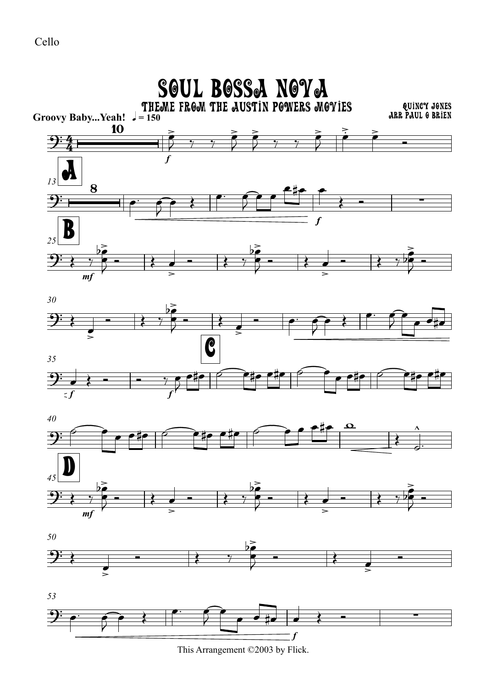